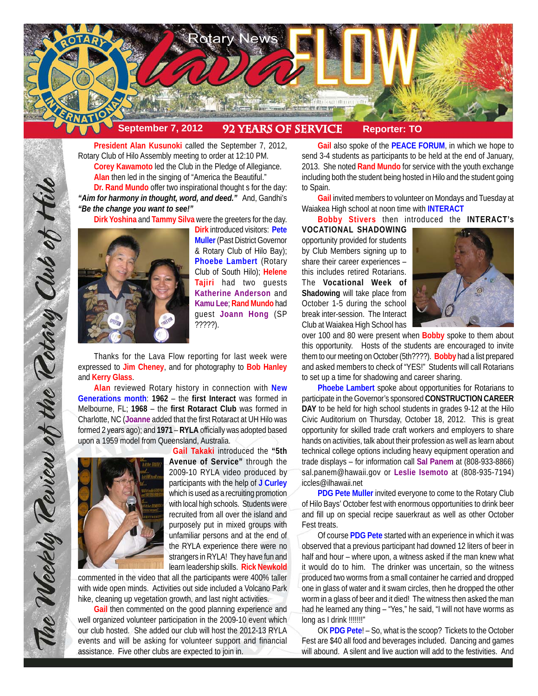

**President Alan Kusunoki** called the September 7, 2012, Rotary Club of Hilo Assembly meeting to order at 12:10 PM. **Corey Kawamoto** led the Club in the Pledge of Allegiance. **Alan** then led in the singing of "America the Beautiful." **Dr. Rand Mundo** offer two inspirational thought s for the day: *"Aim for harmony in thought, word, and deed."* And, Gandhi's

*"Be the change you want to see!"*

**Dirk Yoshina** and **Tammy Silva** were the greeters for the day.



**Dirk** introduced visitors: **Pete Muller** (Past District Governor & Rotary Club of Hilo Bay); **Phoebe Lambert** (Rotary Club of South Hilo); **Helene Tajiri** had two guests **Katherine Anderson** and **Kamu Lee**; **Rand Mundo** had guest **Joann Hong** (SP ?????).

Thanks for the Lava Flow reporting for last week were expressed to **Jim Cheney**, and for photography to **Bob Hanley** and **Kerry Glass**.

**Alan** reviewed Rotary history in connection with **New Generations month**: **1962** – the **first Interact** was formed in Melbourne, FL; **1968** – the **first Rotaract Club** was formed in Charlotte, NC (**Joanne** added that the first Rotaract at UH Hilo was formed 2 years ago); and **1971** – **RYLA** officially was adopted based upon a 1959 model from Queensland, Australia.



**Gail Takaki** introduced the **"5th Avenue of Service"** through the 2009-10 RYLA video produced by participants with the help of **J Curley** which is used as a recruiting promotion with local high schools. Students were recruited from all over the island and purposely put in mixed groups with unfamiliar persons and at the end of the RYLA experience there were no strangers in RYLA! They have fun and learn leadership skills. **Rick Newkold**

commented in the video that all the participants were 400% taller with wide open minds. Activities out side included a Volcano Park hike, cleaning up vegetation growth, and last night activities.

**Gail** then commented on the good planning experience and well organized volunteer participation in the 2009-10 event which our club hosted. She added our club will host the 2012-13 RYLA events and will be asking for volunteer support and financial assistance. Five other clubs are expected to join in.

**Gail** also spoke of the **PEACE FORUM**, in which we hope to send 3-4 students as participants to be held at the end of January, 2013. She noted **Rand Mundo** for service with the youth exchange including both the student being hosted in Hilo and the student going to Spain.

**Gail** invited members to volunteer on Mondays and Tuesday at Waiakea High school at noon time with **INTERACT**

**Bobby Stivers** then introduced the **INTERACT's**

**VOCATIONAL SHADOWING** opportunity provided for students by Club Members signing up to share their career experiences – this includes retired Rotarians. The **Vocational Week of Shadowing** will take place from October 1-5 during the school break inter-session. The Interact Club at Waiakea High School has



over 100 and 80 were present when **Bobby** spoke to them about this opportunity. Hosts of the students are encouraged to invite them to our meeting on October (5th????). **Bobby** had a list prepared and asked members to check of "YES!" Students will call Rotarians to set up a time for shadowing and career sharing.

**Phoebe Lambert** spoke about opportunities for Rotarians to participate in the Governor's sponsored **CONSTRUCTION CAREER DAY** to be held for high school students in grades 9-12 at the Hilo Civic Auditorium on Thursday, October 18, 2012. This is great opportunity for skilled trade craft workers and employers to share hands on activities, talk about their profession as well as learn about technical college options including heavy equipment operation and trade displays – for information call **Sal Panem** at (808-933-8866) sal.panem@hawaii.gov or **Leslie Isemoto** at (808-935-7194) iccles@ilhawaii.net

**PDG Pete Muller** invited everyone to come to the Rotary Club of Hilo Bays' October fest with enormous opportunities to drink beer and fill up on special recipe sauerkraut as well as other October Fest treats.

Of course **PDG Pete** started with an experience in which it was observed that a previous participant had downed 12 liters of beer in half and hour – where upon, a witness asked if the man knew what it would do to him. The drinker was uncertain, so the witness produced two worms from a small container he carried and dropped one in glass of water and it swam circles, then he dropped the other worm in a glass of beer and it died! The witness then asked the man had he learned any thing – "Yes," he said, "I will not have worms as long as I drink !!!!!!!!"

OK **PDG Pete**! – So, what is the scoop? Tickets to the October Fest are \$40 all food and beverages included. Dancing and games will abound. A silent and live auction will add to the festivities. And